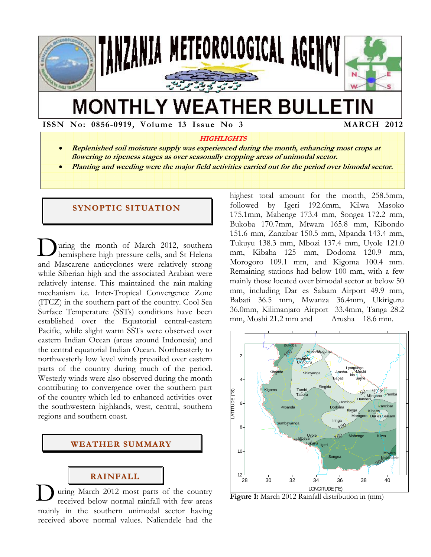

# **MONTHLY WEATHER BULLETIN**

**ISSN No: 0856-0919, Volume 13 Issue No 3 MARCH 2012** 

#### **HIGHLIGHTS**

- **Replenished soil moisture supply was experienced during the month, enhancing most crops at flowering to ripeness stages as over seasonally cropping areas of unimodal sector.**
- **Planting and weeding were the major field activities carried out for the period over bimodal sector.**

## **SYNOPTIC SITUATION**

uring the month of March 2012, southern hemisphere high pressure cells, and St Helena and Mascarene anticyclones were relatively strong while Siberian high and the associated Arabian were relatively intense. This maintained the rain-making mechanism i.e. Inter-Tropical Convergence Zone (ITCZ) in the southern part of the country. Cool Sea Surface Temperature (SSTs) conditions have been established over the Equatorial central-eastern Pacific, while slight warm SSTs were observed over eastern Indian Ocean (areas around Indonesia) and the central equatorial Indian Ocean. Northeasterly to northwesterly low level winds prevailed over eastern parts of the country during much of the period. Westerly winds were also observed during the month contributing to convergence over the southern part of the country which led to enhanced activities over the southwestern highlands, west, central, southern regions and southern coast. D

#### **WEATHER SUMMARY**

## **RAINFALL**

uring March 2012 most parts of the country received below normal rainfall with few areas mainly in the southern unimodal sector having received above normal values. Naliendele had the D

highest total amount for the month, 258.5mm, followed by Igeri 192.6mm, Kilwa Masoko 175.1mm, Mahenge 173.4 mm, Songea 172.2 mm, Bukoba 170.7mm, Mtwara 165.8 mm, Kibondo 151.6 mm, Zanzibar 150.5 mm, Mpanda 143.4 mm, Tukuyu 138.3 mm, Mbozi 137.4 mm, Uyole 121.0 mm, Kibaha 125 mm, Dodoma 120.9 mm, Morogoro 109.1 mm, and Kigoma 100.4 mm. Remaining stations had below 100 mm, with a few mainly those located over bimodal sector at below 50 mm, including Dar es Salaam Airport 49.9 mm, Babati 36.5 mm, Mwanza 36.4mm, Ukiriguru 36.0mm, Kilimanjaro Airport 33.4mm, Tanga 28.2 mm, Moshi 21.2 mm and Arusha 18.6 mm.



**Figure 1:** March 2012 Rainfall distribution in (mm)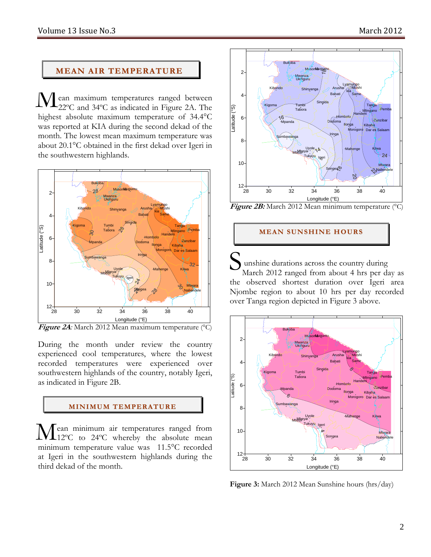## **MEAN AIR TEMPERATURE**

ean maximum temperatures ranged between 22ºC and 34ºC as indicated in Figure 2A. The highest absolute maximum temperature of 34.4°C was reported at KIA during the second dekad of the month. The lowest mean maximum temperature was about 20.1°C obtained in the first dekad over Igeri in the southwestern highlands. M



**Figure 2A***:* March 2012 Mean maximum temperature (°C)

During the month under review the country experienced cool temperatures, where the lowest recorded temperatures were experienced over southwestern highlands of the country, notably Igeri, as indicated in Figure 2B.

## **MI NI MUM TEMPERATURE**

ean minimum air temperatures ranged from Mean minimum air temperatures ranged from<br>12°C to 24°C whereby the absolute mean minimum temperature value was 11.5°C recorded at Igeri in the southwestern highlands during the third dekad of the month.



Figure 2B: March 2012 Mean minimum temperature (°C)

## **MEAN SUNSHINE HOURS**

unshine durations across the country during March 2012 ranged from about 4 hrs per day as the observed shortest duration over Igeri area Njombe region to about 10 hrs per day recorded over Tanga region depicted in Figure 3 above. S



**Figure 3:** March 2012 Mean Sunshine hours (hrs/day)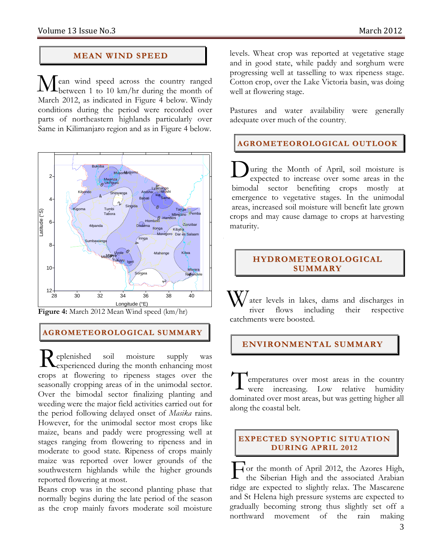## **MEAN WIND SPEED**

ean wind speed across the country ranged  $\mathbf{M}$ ean wind speed across the country ranged between 1 to 10 km/hr during the month of March 2012, as indicated in Figure 4 below. Windy conditions during the period were recorded over parts of northeastern highlands particularly over Same in Kilimanjaro region and as in Figure 4 below.



**Figure 4:** March 2012 Mean Wind speed (km/hr)

## **AGROMETEOROLOGICAL SUMMARY**

eplenished soil moisture supply was **L**experienced during the month enhancing most crops at flowering to ripeness stages over the seasonally cropping areas of in the unimodal sector. Over the bimodal sector finalizing planting and weeding were the major field activities carried out for the period following delayed onset of *Masika* rains. However, for the unimodal sector most crops like maize, beans and paddy were progressing well at stages ranging from flowering to ripeness and in moderate to good state. Ripeness of crops mainly maize was reported over lower grounds of the southwestern highlands while the higher grounds reported flowering at most. R

Beans crop was in the second planting phase that normally begins during the late period of the season as the crop mainly favors moderate soil moisture levels. Wheat crop was reported at vegetative stage and in good state, while paddy and sorghum were progressing well at tasselling to wax ripeness stage. Cotton crop, over the Lake Victoria basin, was doing well at flowering stage.

Pastures and water availability were generally adequate over much of the country*.* 

## **AGROMETEOROLOGICAL OUTLOOK**

uring the Month of April, soil moisture is expected to increase over some areas in the bimodal sector benefiting crops mostly at emergence to vegetative stages. In the unimodal areas, increased soil moisture will benefit late grown crops and may cause damage to crops at harvesting maturity. D

## **HYDROMETEOROLOGICAL SUMMARY**

ater levels in lakes, dams and discharges in river flows including their respective catchments were boosted. W

## **ENVIRONMENTAL SUMMARY**

emperatures over most areas in the country were increasing. Low relative humidity dominated over most areas, but was getting higher all along the coastal belt. T

### **EXPECTED SYNOPTIC SITUATION DURING APRIL 2012**

or the month of April 2012, the Azores High, the Siberian High and the associated Arabian ridge are expected to slightly relax. The Mascarene and St Helena high pressure systems are expected to gradually becoming strong thus slightly set off a northward movement of the rain making F